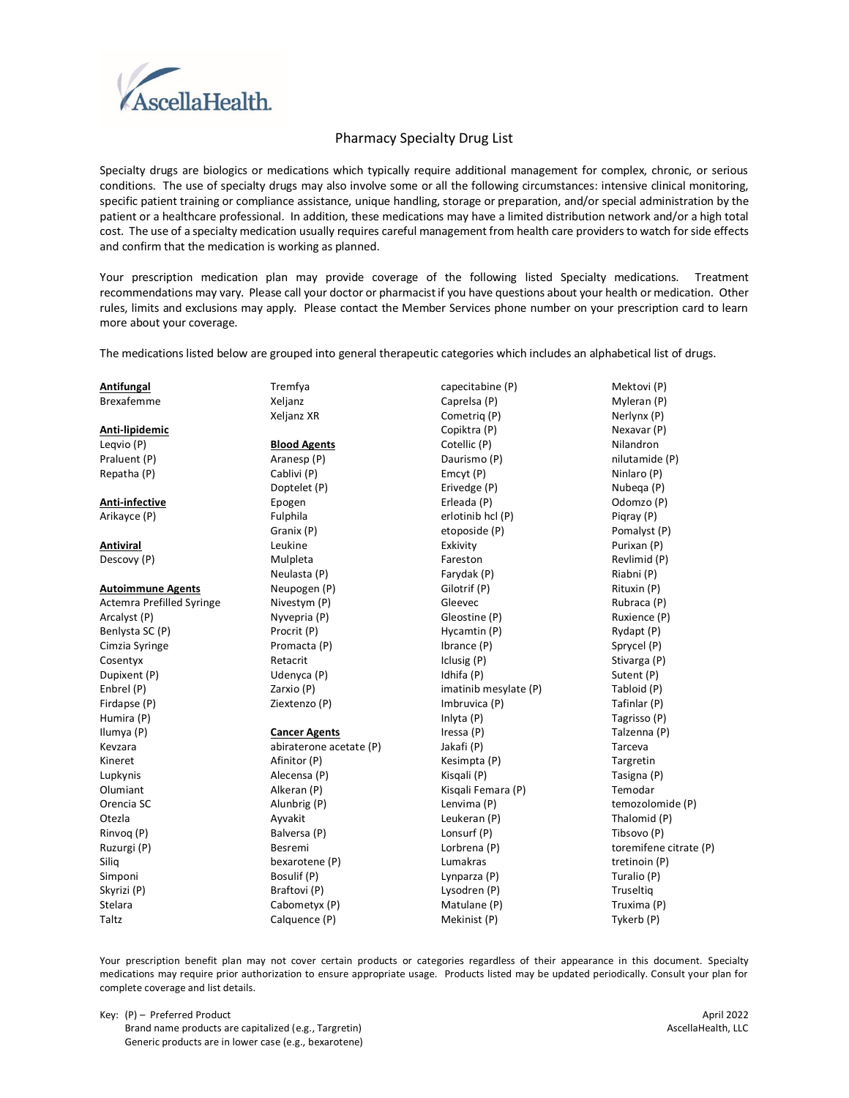

# **Pharmacy Specialty Drug List**

Specialty drugs are biologics or medications which typically require additional management for complex, chronic, or serious conditions. The use of specialty drugs may also involve some or all the following circumstances: intensive clinical monitoring, specific patient training or compliance assistance, unique handling, storage or preparation, and/or special administration by the patient or a healthcare professional. In addition, these medications may have a limited distribution network and/or a high total cost. The use of a specialty medication usually requires careful management from health care providers to watch for side effects and confirm that the medication is working as planned.

Your prescription medication plan may provide coverage of the following listed Specialty medications. Treatment recommendations may vary. Please call your doctor or pharmacist if you have questions about your health or medication. Other rules, limits and exclusions may apply. Please contact the Member Services phone number on your prescription card to learn more about your coverage.

The medications listed below are grouped into general therapeutic categories which includes an alphabetical list of drugs.

| Antifungal                | Tremfya                 | capecitabine (P)      | Mektovi (P)            |
|---------------------------|-------------------------|-----------------------|------------------------|
| <b>Brexafemme</b>         | Xeljanz                 | Caprelsa (P)          | Myleran (P)            |
|                           | Xeljanz XR              | Cometrig (P)          | Nerlynx (P)            |
| Anti-lipidemic            |                         | Copiktra (P)          | Nexavar (P)            |
| Leqvio (P)                | <b>Blood Agents</b>     | Cotellic (P)          | Nilandron              |
| Praluent (P)              | Aranesp (P)             | Daurismo (P)          | nilutamide (P)         |
| Repatha (P)               | Cablivi (P)             | Emcyt (P)             | Ninlaro (P)            |
|                           | Doptelet (P)            | Erivedge (P)          | Nubega (P)             |
| Anti-infective            | Epogen                  | Erleada (P)           | Odomzo (P)             |
| Arikayce (P)              | Fulphila                | erlotinib hcl (P)     | Pigray (P)             |
|                           | Granix (P)              | etoposide (P)         | Pomalyst (P)           |
| Antiviral                 | Leukine                 | Exkivity              | Purixan (P)            |
| Descovy (P)               | Mulpleta                | Fareston              | Revlimid (P)           |
|                           | Neulasta (P)            | Farydak (P)           | Riabni (P)             |
| <b>Autoimmune Agents</b>  | Neupogen (P)            | Gilotrif (P)          | Rituxin (P)            |
| Actemra Prefilled Syringe | Nivestym (P)            | Gleevec               | Rubraca (P)            |
| Arcalyst (P)              | Nyvepria (P)            | Gleostine (P)         | Ruxience (P)           |
| Benlysta SC (P)           | Procrit (P)             | Hycamtin (P)          | Rydapt (P)             |
| Cimzia Syringe            | Promacta (P)            | Ibrance (P)           | Sprycel (P)            |
| Cosentyx                  | Retacrit                | Iclusig (P)           | Stivarga (P)           |
| Dupixent (P)              | Udenyca (P)             | Idhifa (P)            | Sutent (P)             |
| Enbrel (P)                | Zarxio (P)              | imatinib mesylate (P) | Tabloid (P)            |
| Firdapse (P)              | Ziextenzo (P)           | Imbruvica (P)         | Tafinlar (P)           |
| Humira (P)                |                         | Inlyta (P)            | Tagrisso (P)           |
| Ilumya (P)                | <b>Cancer Agents</b>    | Iressa (P)            | Talzenna (P)           |
| Kevzara                   | abiraterone acetate (P) | Jakafi (P)            | Tarceva                |
| Kineret                   | Afinitor (P)            | Kesimpta (P)          | Targretin              |
| Lupkynis                  | Alecensa (P)            | Kisgali (P)           | Tasigna (P)            |
| Olumiant                  | Alkeran (P)             | Kisgali Femara (P)    | Temodar                |
| Orencia SC                | Alunbrig (P)            | Lenvima (P)           | temozolomide (P)       |
| Otezla                    | Ayvakit                 | Leukeran (P)          | Thalomid (P)           |
| Rinvoq (P)                | Balversa (P)            | Lonsurf (P)           | Tibsovo (P)            |
| Ruzurgi (P)               | Besremi                 | Lorbrena (P)          | toremifene citrate (P) |
| Siliq                     | bexarotene (P)          | Lumakras              | tretinoin (P)          |
| Simponi                   | Bosulif (P)             | Lynparza (P)          | Turalio (P)            |
| Skyrizi (P)               | Braftovi (P)            | Lysodren (P)          | Truseltig              |
| Stelara                   | Cabometyx (P)           | Matulane (P)          | Truxima (P)            |
| Taltz                     | Calquence (P)           | Mekinist (P)          | Tykerb (P)             |
|                           |                         |                       |                        |

Your prescription benefit plan may not cover certain products or categories regardless of their appearance in this document. Specialty medications may require prior authorization to ensure appropriate usage. Products listed may be updated periodically. Consult your plan for complete coverage and list details.

| Key: (P) - Preferred Product       |
|------------------------------------|
| Brand namo products are capitalize |

Brand name products are capitalized (e.g., Targretin) Generic products are in lower case (e.g., bexarotene)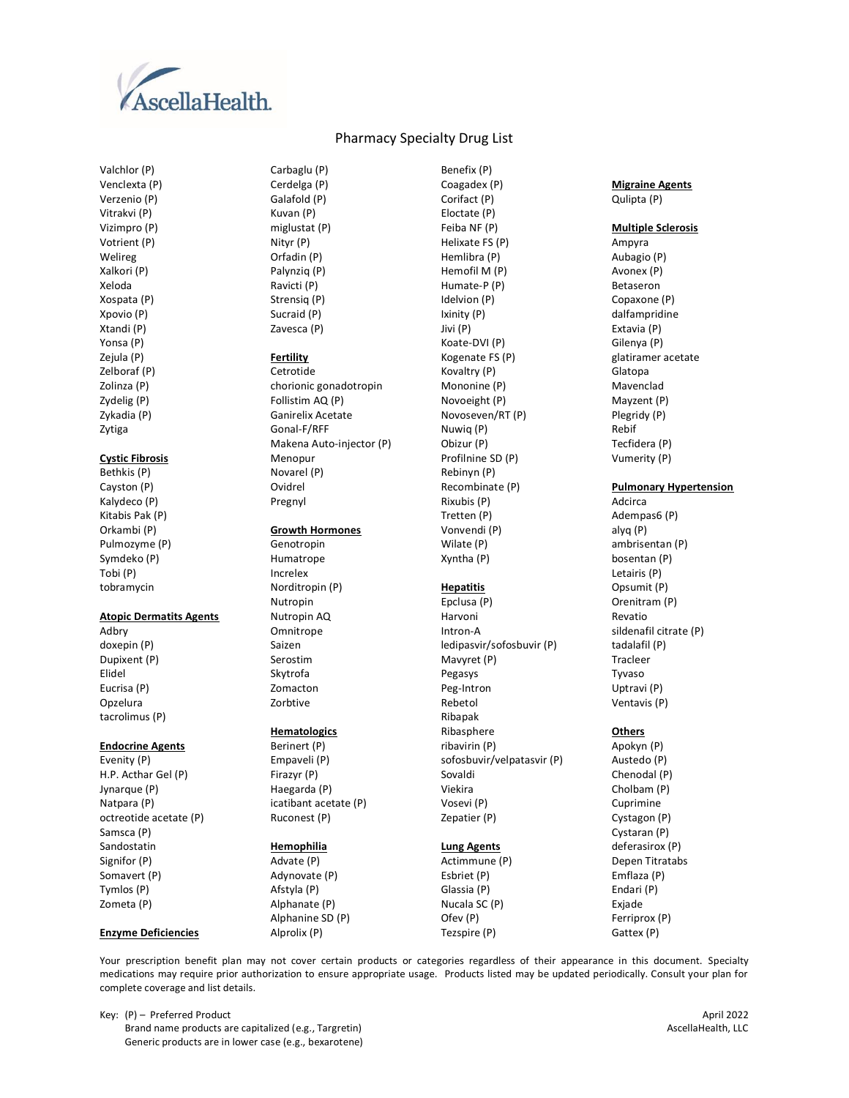

Valchlor (P) Venclexta (P) Verzenio (P) Vitrakvi (P) Vizimpro (P) Votrient (P) Welireg Xalkori (P) Xeloda Xospata (P) Xpovio (P) Xtandi (P) Yonsa (P) Zejula (P) Zelboraf (P) Zolinza (P) Zydelig (P) Zykadia (P) Zytiga

# **Cystic Fibrosis**

Bethkis (P) Cayston (P) Kalydeco (P) Kitabis Pak (P) Orkambi (P) Pulmozyme (P) Symdeko (P) Tobi (P) tobramycin

#### **Atopic Dermatits Agents**

Adbry doxepin (P) Dupixent (P) Elidel Eucrisa (P) Opzelura tacrolimus (P)

### **Endocrine Agents**

Evenity (P) H.P. Acthar Gel (P) Jynarque (P) Natpara (P) octreotide acetate (P) Samsca (P) Sandostatin Signifor (P) Somavert (P) Tymlos (P) Zometa (P)

### **Enzyme Deficiencies**

## Pharmacy Specialty Drug List

Carbaglu (P) Cerdelga (P) Galafold (P) Kuvan (P) miglustat (P) Nityr (P) Orfadin (P) Palynziq (P) Ravicti (P) Strensiq (P) Sucraid (P) Zavesca (P)

#### **Fertility**

Cetrotide chorionic gonadotropin Follistim AQ (P) Ganirelix Acetate Gonal-F/RFF Makena Auto-injector (P) Menopur Novarel (P) Ovidrel Pregnyl

### **Growth Hormones**

Genotropin Humatrope Increlex Norditropin (P) Nutropin Nutropin AQ **Omnitrope** Saizen Serostim Skytrofa Zomacton Zorbtive

# **Hematologics**

Berinert (P) Empaveli (P) Firazyr (P) Haegarda (P) icatibant acetate (P) Ruconest (P)

## **Hemophilia**

Advate (P) Adynovate (P) Afstyla (P) Alphanate (P) Alphanine SD (P) Alprolix (P)

Benefix (P) Coagadex (P) Corifact (P) Eloctate (P) Feiba NF (P) Helixate FS (P) Hemlibra (P) Hemofil M (P) Humate-P (P) Idelvion (P) Ixinity (P) Jivi (P) Koate-DVI (P) Kogenate FS (P) Kovaltry (P) Mononine (P) Novoeight (P) Novoseven/RT (P) Nuwiq (P) Obizur (P) Profilnine SD (P) Rebinyn (P) Recombinate (P) Rixubis (P) Tretten (P) Vonvendi (P) Wilate (P)

### **Hepatitis**

Xyntha (P)

Epclusa (P) Harvoni Intron-A ledipasvir/sofosbuvir (P) Mavyret (P) Pegasys Peg-Intron Rebetol Ribapak Ribasphere ribavirin (P) sofosbuvir/velpatasvir (P) Sovaldi Viekira Vosevi (P)

## **Lung Agents**

Zepatier (P)

Actimmune (P) Esbriet (P) Glassia (P) Nucala SC (P) Ofev (P) Tezspire (P)

### **Migraine Agents** Qulipta (P)

**Multiple Sclerosis**

Ampyra Aubagio (P) Avonex (P) Betaseron Copaxone (P) dalfampridine Extavia (P) Gilenya (P) glatiramer acetate Glatopa Mavenclad Mayzent (P) Plegridy (P) Rebif Tecfidera (P) Vumerity (P)

### **Pulmonary Hypertension**

Adcirca Adempas6 (P) alyq (P) ambrisentan (P) bosentan (P) Letairis (P) Opsumit (P) Orenitram (P) Revatio sildenafil citrate (P) tadalafil (P) Tracleer Tyvaso Uptravi (P) Ventavis (P)

### **Others**

Apokyn (P) Austedo (P) Chenodal (P) Cholbam (P) Cuprimine Cystagon (P) Cystaran (P) deferasirox (P) Depen Titratabs Emflaza (P) Endari (P) Exjade Ferriprox (P) Gattex (P)

Your prescription benefit plan may not cover certain products or categories regardless of their appearance in this document. Specialty medications may require prior authorization to ensure appropriate usage. Products listed may be updated periodically. Consult your plan for complete coverage and list details.

Key: (P) – Preferred Product April 2022<br>Brand name products are capitalized (e.g., Targretin) Maxwell and the US and name products are capitalized (e.g., Targretin) Brand name products are capitalized (e.g., Targretin) Generic products are in lower case (e.g., bexarotene)